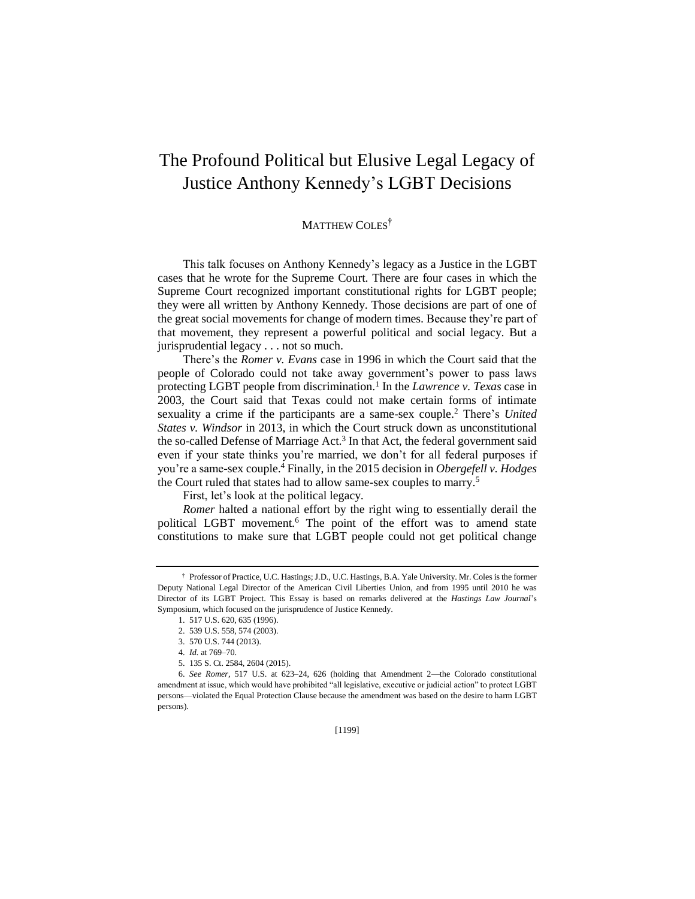## The Profound Political but Elusive Legal Legacy of Justice Anthony Kennedy's LGBT Decisions

## MATTHEW COLES<sup>†</sup>

This talk focuses on Anthony Kennedy's legacy as a Justice in the LGBT cases that he wrote for the Supreme Court. There are four cases in which the Supreme Court recognized important constitutional rights for LGBT people; they were all written by Anthony Kennedy. Those decisions are part of one of the great social movements for change of modern times. Because they're part of that movement, they represent a powerful political and social legacy. But a jurisprudential legacy . . . not so much.

There's the *Romer v. Evans* case in 1996 in which the Court said that the people of Colorado could not take away government's power to pass laws protecting LGBT people from discrimination.<sup>1</sup> In the *Lawrence v*. Texas case in 2003, the Court said that Texas could not make certain forms of intimate sexuality a crime if the participants are a same-sex couple.<sup>2</sup> There's *United States v. Windsor* in 2013, in which the Court struck down as unconstitutional the so-called Defense of Marriage Act.<sup>3</sup> In that Act, the federal government said even if your state thinks you're married, we don't for all federal purposes if you're a same-sex couple.<sup>4</sup> Finally, in the 2015 decision in *Obergefell v. Hodges* the Court ruled that states had to allow same-sex couples to marry.<sup>5</sup>

First, let's look at the political legacy.

*Romer* halted a national effort by the right wing to essentially derail the political LGBT movement.<sup>6</sup> The point of the effort was to amend state constitutions to make sure that LGBT people could not get political change

<sup>†</sup> Professor of Practice, U.C. Hastings; J.D., U.C. Hastings, B.A. Yale University. Mr. Coles is the former Deputy National Legal Director of the American Civil Liberties Union, and from 1995 until 2010 he was Director of its LGBT Project. This Essay is based on remarks delivered at the *Hastings Law Journal*'s Symposium, which focused on the jurisprudence of Justice Kennedy.

<sup>1.</sup> 517 U.S. 620, 635 (1996).

<sup>2.</sup> 539 U.S. 558, 574 (2003).

<sup>3.</sup> 570 U.S. 744 (2013).

<sup>4.</sup> *Id.* at 769–70.

<sup>5.</sup> 135 S. Ct. 2584, 2604 (2015).

<sup>6.</sup> *See Romer*, 517 U.S. at 623–24, 626 (holding that Amendment 2—the Colorado constitutional amendment at issue, which would have prohibited "all legislative, executive or judicial action" to protect LGBT persons—violated the Equal Protection Clause because the amendment was based on the desire to harm LGBT persons).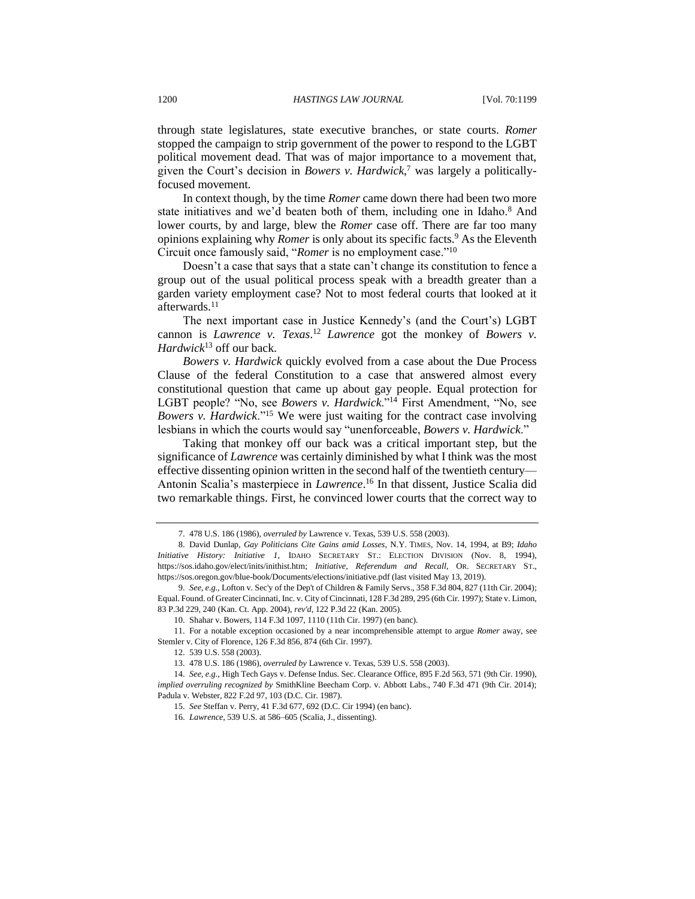through state legislatures, state executive branches, or state courts. *Romer* stopped the campaign to strip government of the power to respond to the LGBT political movement dead. That was of major importance to a movement that, given the Court's decision in *Bowers v. Hardwick*, <sup>7</sup> was largely a politicallyfocused movement.

In context though, by the time *Romer* came down there had been two more state initiatives and we'd beaten both of them, including one in Idaho.<sup>8</sup> And lower courts, by and large, blew the *Romer* case off. There are far too many opinions explaining why *Romer* is only about its specific facts.<sup>9</sup> As the Eleventh Circuit once famously said, "*Romer* is no employment case."<sup>10</sup>

Doesn't a case that says that a state can't change its constitution to fence a group out of the usual political process speak with a breadth greater than a garden variety employment case? Not to most federal courts that looked at it afterwards. 11

The next important case in Justice Kennedy's (and the Court's) LGBT cannon is *Lawrence v. Texas*. <sup>12</sup> *Lawrence* got the monkey of *Bowers v. Hardwick*<sup>13</sup> off our back.

<span id="page-1-0"></span>*Bowers v. Hardwick* quickly evolved from a case about the Due Process Clause of the federal Constitution to a case that answered almost every constitutional question that came up about gay people. Equal protection for LGBT people? "No, see *Bowers v. Hardwick*."<sup>14</sup> First Amendment, "No, see *Bowers v. Hardwick*."<sup>15</sup> We were just waiting for the contract case involving lesbians in which the courts would say "unenforceable, *Bowers v. Hardwick*."

Taking that monkey off our back was a critical important step, but the significance of *Lawrence* was certainly diminished by what I think was the most effective dissenting opinion written in the second half of the twentieth century— Antonin Scalia's masterpiece in *Lawrence*. <sup>16</sup> In that dissent, Justice Scalia did two remarkable things. First, he convinced lower courts that the correct way to

10. Shahar v. Bowers, 114 F.3d 1097, 1110 (11th Cir. 1997) (en banc).

11. For a notable exception occasioned by a near incomprehensible attempt to argue *Romer* away, see Stemler v. City of Florence, 126 F.3d 856, 874 (6th Cir. 1997).

12. 539 U.S. 558 (2003).

13. 478 U.S. 186 (1986), *overruled by* Lawrence v. Texas, 539 U.S. 558 (2003).

<sup>7.</sup> 478 U.S. 186 (1986), *overruled by* Lawrence v. Texas, 539 U.S. 558 (2003).

<sup>8.</sup> David Dunlap, *Gay Politicians Cite Gains amid Losses*, N.Y. TIMES, Nov. 14, 1994, at B9; *Idaho Initiative History: Initiative 1*, IDAHO SECRETARY ST.: ELECTION DIVISION (Nov. 8, 1994), [https://sos.idaho.gov/elect/inits/inithist.htm;](https://sos.idaho.gov/elect/inits/inithist.htm) *Initiative, Referendum and Recall*, OR. SECRETARY ST., https://sos.oregon.gov/blue-book/Documents/elections/initiative.pdf (last visited May 13, 2019).

<sup>9.</sup> *See, e.g.*, Lofton v. Sec'y of the Dep't of Children & Family Servs., 358 F.3d 804, 827 (11th Cir. 2004); Equal. Found. of Greater Cincinnati, Inc. v. City of Cincinnati, 128 F.3d 289, 295 (6th Cir. 1997); State v. Limon, 83 P.3d 229, 240 (Kan. Ct. App. 2004), *rev'd*, 122 P.3d 22 (Kan. 2005).

<sup>14.</sup> *See, e.g.*, High Tech Gays v. Defense Indus. Sec. Clearance Office, 895 F.2d 563, 571 (9th Cir. 1990), *implied overruling recognized by* SmithKline Beecham Corp. v. Abbott Labs., 740 F.3d 471 (9th Cir. 2014); Padula v. Webster, 822 F.2d 97, 103 (D.C. Cir. 1987).

<sup>15.</sup> *See* Steffan v. Perry, 41 F.3d 677, 692 (D.C. Cir 1994) (en banc).

<sup>16.</sup> *Lawrence*, 539 U.S. at 586–605 (Scalia, J., dissenting).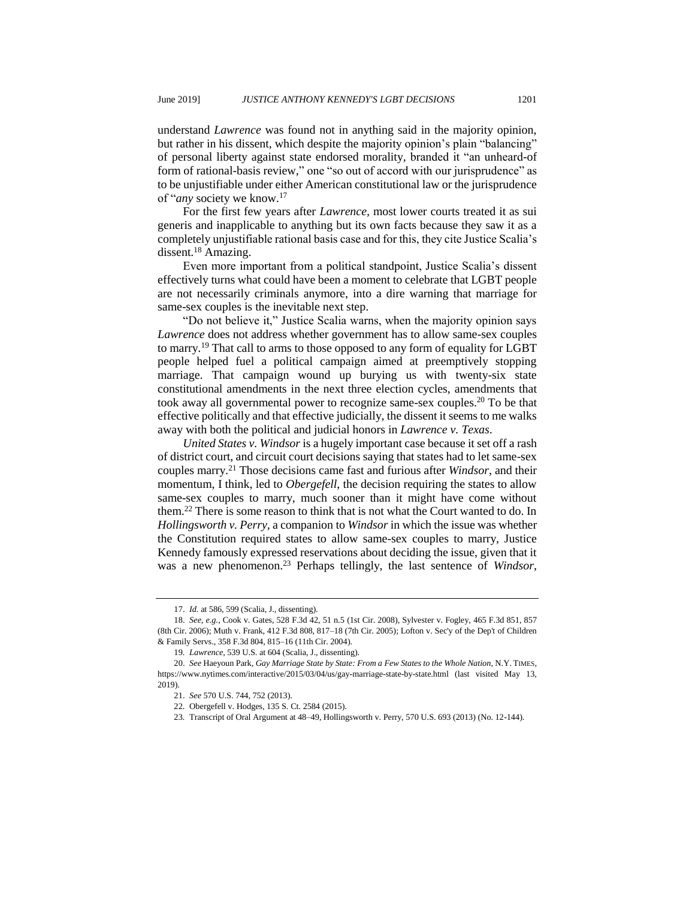understand *Lawrence* was found not in anything said in the majority opinion, but rather in his dissent, which despite the majority opinion's plain "balancing" of personal liberty against state endorsed morality, branded it "an unheard-of form of rational-basis review," one "so out of accord with our jurisprudence" as to be unjustifiable under either American constitutional law or the jurisprudence of "*any* society we know.<sup>17</sup>

For the first few years after *Lawrence,* most lower courts treated it as sui generis and inapplicable to anything but its own facts because they saw it as a completely unjustifiable rational basis case and for this, they cite Justice Scalia's dissent.<sup>18</sup> Amazing.

Even more important from a political standpoint, Justice Scalia's dissent effectively turns what could have been a moment to celebrate that LGBT people are not necessarily criminals anymore, into a dire warning that marriage for same-sex couples is the inevitable next step.

"Do not believe it," Justice Scalia warns, when the majority opinion says *Lawrence* does not address whether government has to allow same-sex couples to marry.<sup>19</sup> That call to arms to those opposed to any form of equality for LGBT people helped fuel a political campaign aimed at preemptively stopping marriage. That campaign wound up burying us with twenty-six state constitutional amendments in the next three election cycles, amendments that took away all governmental power to recognize same-sex couples.<sup>20</sup> To be that effective politically and that effective judicially, the dissent it seems to me walks away with both the political and judicial honors in *Lawrence v. Texas*.

<span id="page-2-0"></span>*United States v. Windsor* is a hugely important case because it set off a rash of district court, and circuit court decisions saying that states had to let same-sex couples marry. <sup>21</sup> Those decisions came fast and furious after *Windsor*, and their momentum, I think, led to *Obergefell*, the decision requiring the states to allow same-sex couples to marry, much sooner than it might have come without them.<sup>22</sup> There is some reason to think that is not what the Court wanted to do. In *Hollingsworth v. Perry,* a companion to *Windsor* in which the issue was whether the Constitution required states to allow same-sex couples to marry, Justice Kennedy famously expressed reservations about deciding the issue, given that it was a new phenomenon.<sup>23</sup> Perhaps tellingly, the last sentence of *Windsor*,

<sup>17.</sup> *Id.* at 586, 599 (Scalia, J., dissenting).

<sup>18.</sup> *See, e.g.*, Cook v. Gates, 528 F.3d 42, 51 n.5 (1st Cir. 2008), Sylvester v. Fogley, 465 F.3d 851, 857 (8th Cir. 2006); Muth v. Frank, 412 F.3d 808, 817–18 (7th Cir. 2005); Lofton v. Sec'y of the Dep't of Children & Family Servs., 358 F.3d 804, 815–16 (11th Cir. 2004).

<sup>19</sup>*. Lawrence*, 539 U.S. at 604 (Scalia, J., dissenting).

<sup>20.</sup> *See* Haeyoun Park, *Gay Marriage State by State: From a Few States to the Whole Nation*, N.Y. TIMES, https://www.nytimes.com/interactive/2015/03/04/us/gay-marriage-state-by-state.html (last visited May 13, 2019).

<sup>21.</sup> *See* 570 U.S. 744, 752 (2013).

<sup>22</sup>*.* Obergefell v. Hodges, 135 S. Ct. 2584 (2015).

<sup>23</sup>*.* Transcript of Oral Argument at 48–49, Hollingsworth v. Perry, 570 U.S. 693 (2013) (No. 12-144).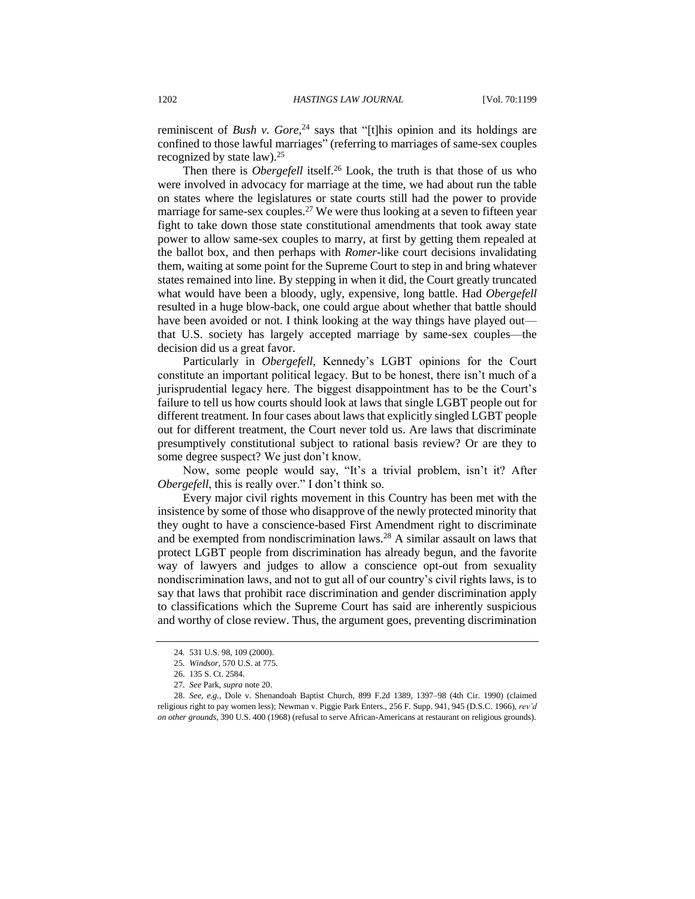reminiscent of *Bush v. Gore*, <sup>24</sup> says that "[t]his opinion and its holdings are confined to those lawful marriages" (referring to marriages of same-sex couples recognized by state law).<sup>25</sup>

Then there is *Obergefell* itself.<sup>26</sup> Look, the truth is that those of us who were involved in advocacy for marriage at the time, we had about run the table on states where the legislatures or state courts still had the power to provide marriage for same-sex couples.<sup>27</sup> We were thus looking at a seven to fifteen year fight to take down those state constitutional amendments that took away state power to allow same-sex couples to marry, at first by getting them repealed at the ballot box, and then perhaps with *Romer*-like court decisions invalidating them, waiting at some point for the Supreme Court to step in and bring whatever states remained into line. By stepping in when it did, the Court greatly truncated what would have been a bloody, ugly, expensive, long battle. Had *Obergefell*  resulted in a huge blow-back, one could argue about whether that battle should have been avoided or not. I think looking at the way things have played out that U.S. society has largely accepted marriage by same-sex couples—the decision did us a great favor.

Particularly in *Obergefell*, Kennedy's LGBT opinions for the Court constitute an important political legacy. But to be honest, there isn't much of a jurisprudential legacy here. The biggest disappointment has to be the Court's failure to tell us how courts should look at laws that single LGBT people out for different treatment. In four cases about laws that explicitly singled LGBT people out for different treatment, the Court never told us. Are laws that discriminate presumptively constitutional subject to rational basis review? Or are they to some degree suspect? We just don't know.

Now, some people would say, "It's a trivial problem, isn't it? After *Obergefell*, this is really over." I don't think so.

Every major civil rights movement in this Country has been met with the insistence by some of those who disapprove of the newly protected minority that they ought to have a conscience-based First Amendment right to discriminate and be exempted from nondiscrimination laws. <sup>28</sup> A similar assault on laws that protect LGBT people from discrimination has already begun, and the favorite way of lawyers and judges to allow a conscience opt-out from sexuality nondiscrimination laws, and not to gut all of our country's civil rights laws, is to say that laws that prohibit race discrimination and gender discrimination apply to classifications which the Supreme Court has said are inherently suspicious and worthy of close review. Thus, the argument goes, preventing discrimination

<sup>24</sup>*.* 531 U.S. 98, 109 (2000).

<sup>25</sup>*. Windsor*, 570 U.S. at 775.

<sup>26.</sup> 135 S. Ct. 2584.

<sup>27.</sup> *See* Park, *supra* note [20.](#page-2-0)

<sup>28.</sup> *See, e.g.*, Dole v. Shenandoah Baptist Church, 899 F.2d 1389, 1397–98 (4th Cir. 1990) (claimed religious right to pay women less); Newman v. Piggie Park Enters., 256 F. Supp. 941, 945 (D.S.C. 1966), *rev'd on other grounds*, 390 U.S. 400 (1968) (refusal to serve African-Americans at restaurant on religious grounds).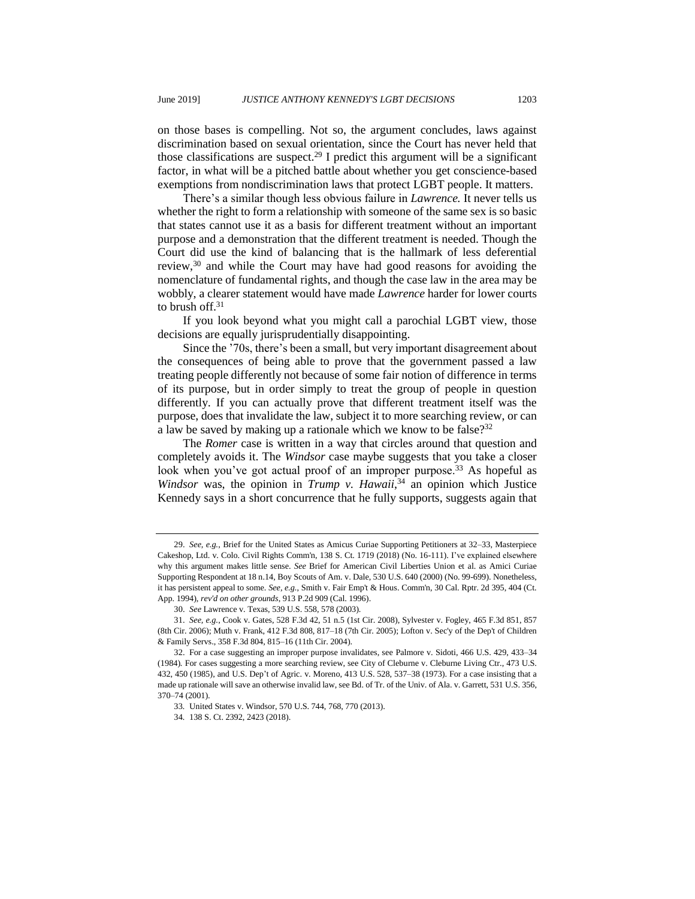on those bases is compelling. Not so, the argument concludes, laws against discrimination based on sexual orientation, since the Court has never held that those classifications are suspect.<sup>29</sup> I predict this argument will be a significant factor, in what will be a pitched battle about whether you get conscience-based exemptions from nondiscrimination laws that protect LGBT people. It matters.

There's a similar though less obvious failure in *Lawrence.* It never tells us whether the right to form a relationship with someone of the same sex is so basic that states cannot use it as a basis for different treatment without an important purpose and a demonstration that the different treatment is needed. Though the Court did use the kind of balancing that is the hallmark of less deferential review,<sup>30</sup> and while the Court may have had good reasons for avoiding the nomenclature of fundamental rights, and though the case law in the area may be wobbly, a clearer statement would have made *Lawrence* harder for lower courts to brush off.<sup>31</sup>

If you look beyond what you might call a parochial LGBT view, those decisions are equally jurisprudentially disappointing.

Since the '70s, there's been a small, but very important disagreement about the consequences of being able to prove that the government passed a law treating people differently not because of some fair notion of difference in terms of its purpose, but in order simply to treat the group of people in question differently. If you can actually prove that different treatment itself was the purpose, does that invalidate the law, subject it to more searching review, or can a law be saved by making up a rationale which we know to be false? $32$ 

The *Romer* case is written in a way that circles around that question and completely avoids it. The *Windsor* case maybe suggests that you take a closer look when you've got actual proof of an improper purpose.<sup>33</sup> As hopeful as Windsor was, the opinion in *Trump v. Hawaii*,<sup>34</sup> an opinion which Justice Kennedy says in a short concurrence that he fully supports, suggests again that

<sup>29.</sup> *See, e.g.*, Brief for the United States as Amicus Curiae Supporting Petitioners at 32–33, Masterpiece Cakeshop, Ltd. v. Colo. Civil Rights Comm'n, 138 S. Ct. 1719 (2018) (No. 16-111). I've explained elsewhere why this argument makes little sense. *See* Brief for American Civil Liberties Union et al. as Amici Curiae Supporting Respondent at 18 [n.14,](#page-1-0) Boy Scouts of Am. v. Dale, 530 U.S. 640 (2000) (No. 99-699). Nonetheless, it has persistent appeal to some. *See, e.g.*, Smith v. Fair Emp't & Hous. Comm'n, 30 Cal. Rptr. 2d 395, 404 (Ct. App. 1994), *rev'd on other grounds*, 913 P.2d 909 (Cal. 1996).

<sup>30.</sup> *See* Lawrence v. Texas, 539 U.S. 558, 578 (2003).

<sup>31.</sup> *See, e.g.*, Cook v. Gates, 528 F.3d 42, 51 n.5 (1st Cir. 2008), Sylvester v. Fogley, 465 F.3d 851, 857 (8th Cir. 2006); Muth v. Frank, 412 F.3d 808, 817–18 (7th Cir. 2005); Lofton v. Sec'y of the Dep't of Children & Family Servs., 358 F.3d 804, 815–16 (11th Cir. 2004).

<sup>32.</sup> For a case suggesting an improper purpose invalidates, see Palmore v. Sidoti, 466 U.S. 429, 433–34 (1984)*.* For cases suggesting a more searching review, see City of Cleburne v. Cleburne Living Ctr., 473 U.S. 432, 450 (1985), and U.S. Dep't of Agric. v. Moreno, 413 U.S. 528, 537–38 (1973). For a case insisting that a made up rationale will save an otherwise invalid law, see Bd. of Tr. of the Univ. of Ala. v. Garrett, 531 U.S. 356, 370–74 (2001).

<sup>33</sup>*.* United States v. Windsor, 570 U.S. 744, 768, 770 (2013).

<sup>34</sup>*.* 138 S. Ct. 2392, 2423 (2018).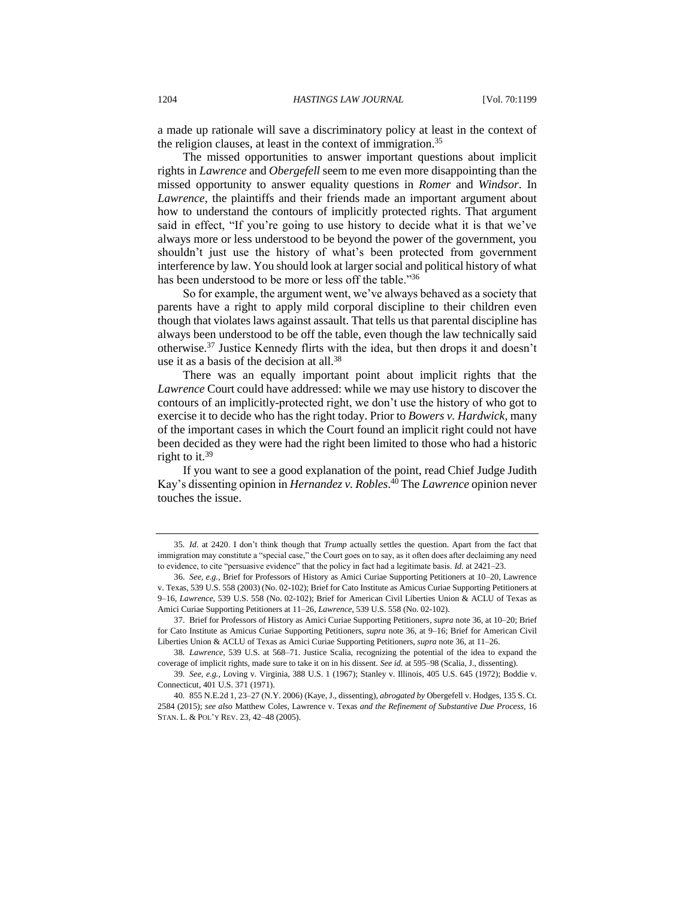a made up rationale will save a discriminatory policy at least in the context of the religion clauses, at least in the context of immigration.<sup>35</sup>

The missed opportunities to answer important questions about implicit rights in *Lawrence* and *Obergefell* seem to me even more disappointing than the missed opportunity to answer equality questions in *Romer* and *Windsor*. In *Lawrence*, the plaintiffs and their friends made an important argument about how to understand the contours of implicitly protected rights. That argument said in effect, "If you're going to use history to decide what it is that we've always more or less understood to be beyond the power of the government, you shouldn't just use the history of what's been protected from government interference by law. You should look at larger social and political history of what has been understood to be more or less off the table."<sup>36</sup>

<span id="page-5-0"></span>So for example, the argument went, we've always behaved as a society that parents have a right to apply mild corporal discipline to their children even though that violates laws against assault. That tells us that parental discipline has always been understood to be off the table, even though the law technically said otherwise. <sup>37</sup> Justice Kennedy flirts with the idea, but then drops it and doesn't use it as a basis of the decision at all.<sup>38</sup>

There was an equally important point about implicit rights that the *Lawrence* Court could have addressed: while we may use history to discover the contours of an implicitly-protected right, we don't use the history of who got to exercise it to decide who has the right today. Prior to *Bowers v. Hardwick,* many of the important cases in which the Court found an implicit right could not have been decided as they were had the right been limited to those who had a historic right to it.<sup>39</sup>

If you want to see a good explanation of the point, read Chief Judge Judith Kay's dissenting opinion in *Hernandez v. Robles*. <sup>40</sup> The *Lawrence* opinion never touches the issue.

37. Brief for Professors of History as Amici Curiae Supporting Petitioners, *supra* not[e 36,](#page-5-0) at 10–20; Brief for Cato Institute as Amicus Curiae Supporting Petitioners, *supra* note [36,](#page-5-0) at 9–16; Brief for American Civil Liberties Union & ACLU of Texas as Amici Curiae Supporting Petitioners, *supra* not[e 36,](#page-5-0) at 11–26.

38*. Lawrence*, 539 U.S. at 568–71. Justice Scalia, recognizing the potential of the idea to expand the coverage of implicit rights, made sure to take it on in his dissent. *See id.* at 595–98 (Scalia, J., dissenting).

39*. See, e.g.*, Loving v. Virginia, 388 U.S. 1 (1967); Stanley v. Illinois, 405 U.S. 645 (1972); Boddie v. Connecticut, 401 U.S. 371 (1971).

40*.* 855 N.E.2d 1, 23–27 (N.Y. 2006) (Kaye, J., dissenting), *abrogated by* Obergefell v. Hodges, 135 S. Ct. 2584 (2015); *see also* Matthew Coles, Lawrence v. Texas *and the Refinement of Substantive Due Process*, 16 STAN. L. & POL'Y REV. 23, 42–48 (2005).

<sup>35</sup>*. Id*. at 2420. I don't think though that *Trump* actually settles the question. Apart from the fact that immigration may constitute a "special case," the Court goes on to say, as it often does after declaiming any need to evidence, to cite "persuasive evidence" that the policy in fact had a legitimate basis. *Id.* at 2421–23.

<sup>36.</sup> *See, e.g.*, Brief for Professors of History as Amici Curiae Supporting Petitioners at 10–20, Lawrence v. Texas, 539 U.S. 558 (2003) (No. 02-102); Brief for Cato Institute as Amicus Curiae Supporting Petitioners at 9–16, *Lawrence*, 539 U.S. 558 (No. 02-102); Brief for American Civil Liberties Union & ACLU of Texas as Amici Curiae Supporting Petitioners at 11–26, *Lawrence*, 539 U.S. 558 (No. 02-102).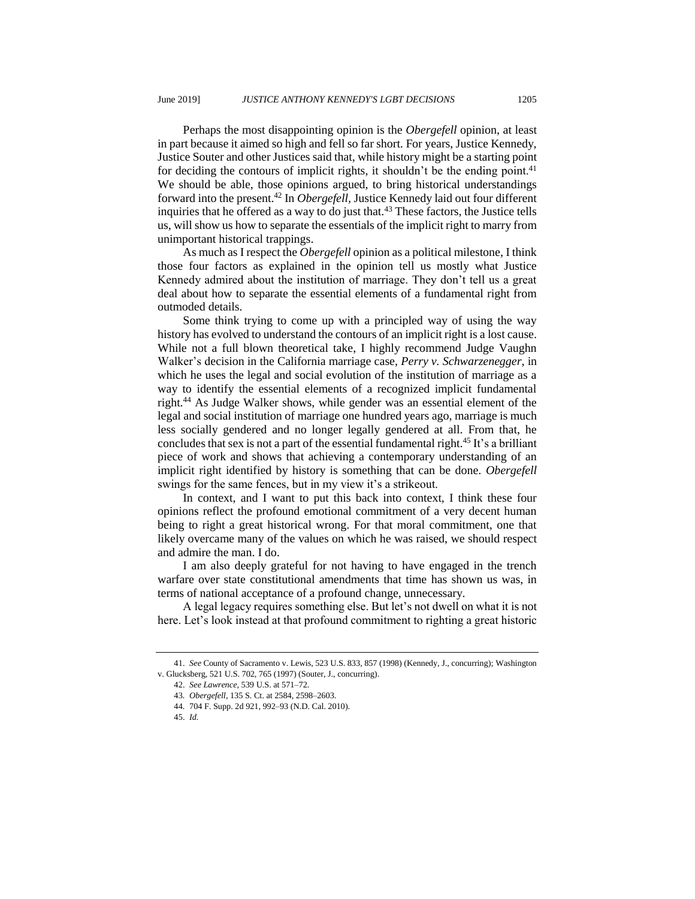Perhaps the most disappointing opinion is the *Obergefell* opinion, at least in part because it aimed so high and fell so far short. For years, Justice Kennedy, Justice Souter and other Justices said that, while history might be a starting point for deciding the contours of implicit rights, it shouldn't be the ending point.<sup>41</sup> We should be able, those opinions argued, to bring historical understandings forward into the present.<sup>42</sup> In *Obergefell,* Justice Kennedy laid out four different inquiries that he offered as a way to do just that. $43$  These factors, the Justice tells us, will show us how to separate the essentials of the implicit right to marry from unimportant historical trappings.

As much as I respect the *Obergefell* opinion as a political milestone, I think those four factors as explained in the opinion tell us mostly what Justice Kennedy admired about the institution of marriage. They don't tell us a great deal about how to separate the essential elements of a fundamental right from outmoded details.

Some think trying to come up with a principled way of using the way history has evolved to understand the contours of an implicit right is a lost cause. While not a full blown theoretical take, I highly recommend Judge Vaughn Walker's decision in the California marriage case, *Perry v. Schwarzenegger*, in which he uses the legal and social evolution of the institution of marriage as a way to identify the essential elements of a recognized implicit fundamental right.<sup>44</sup> As Judge Walker shows, while gender was an essential element of the legal and social institution of marriage one hundred years ago, marriage is much less socially gendered and no longer legally gendered at all. From that, he concludes that sex is not a part of the essential fundamental right.<sup>45</sup> It's a brilliant piece of work and shows that achieving a contemporary understanding of an implicit right identified by history is something that can be done. *Obergefell* swings for the same fences, but in my view it's a strikeout.

In context, and I want to put this back into context, I think these four opinions reflect the profound emotional commitment of a very decent human being to right a great historical wrong. For that moral commitment, one that likely overcame many of the values on which he was raised, we should respect and admire the man. I do.

I am also deeply grateful for not having to have engaged in the trench warfare over state constitutional amendments that time has shown us was, in terms of national acceptance of a profound change, unnecessary.

A legal legacy requires something else. But let's not dwell on what it is not here. Let's look instead at that profound commitment to righting a great historic

<sup>41.</sup> *See* County of Sacramento v. Lewis, 523 U.S. 833, 857 (1998) (Kennedy, J., concurring); Washington v. Glucksberg, 521 U.S. 702, 765 (1997) (Souter, J., concurring).

<sup>42.</sup> *See Lawrence*, 539 U.S. at 571–72.

<sup>43</sup>*. Obergefell*, 135 S. Ct. at 2584, 2598–2603.

<sup>44</sup>*.* 704 F. Supp. 2d 921, 992–93 (N.D. Cal. 2010).

<sup>45.</sup> *Id.*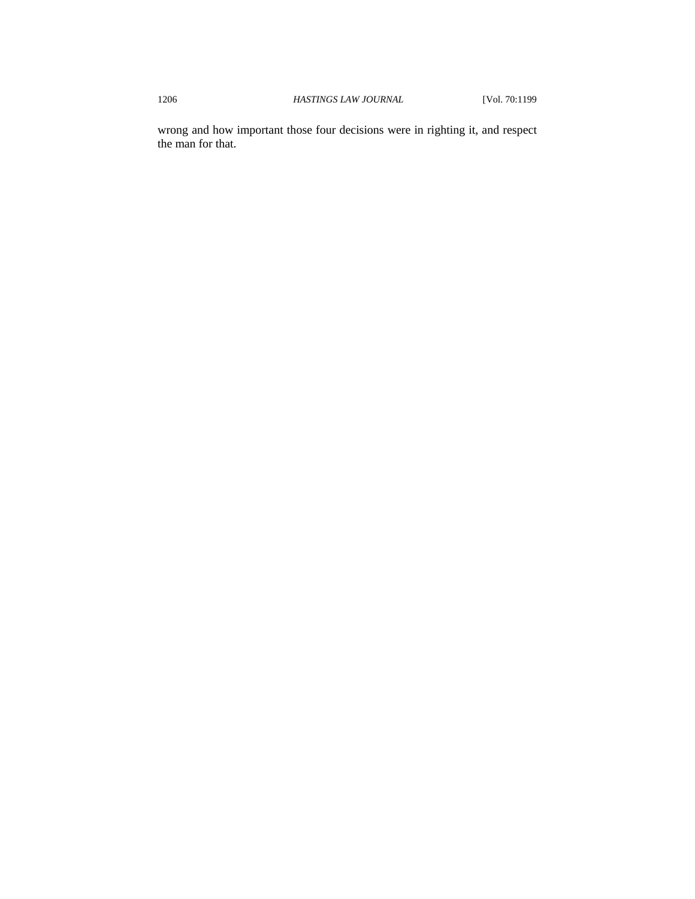wrong and how important those four decisions were in righting it, and respect the man for that.